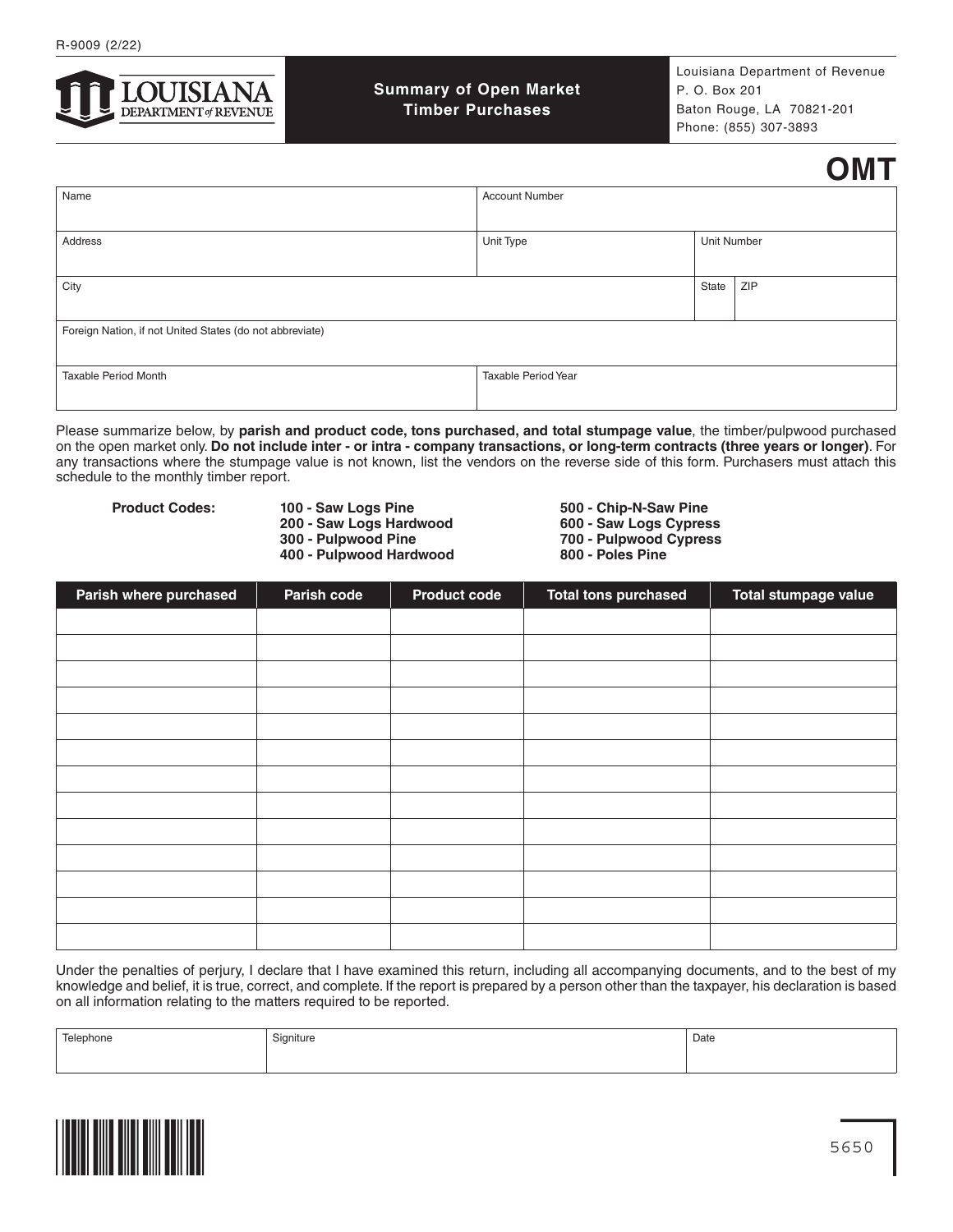

**Summary of Open Market Timber Purchases**

Louisiana Department of Revenue P. O. Box 201 Baton Rouge, LA 70821-201 Phone: (855) 307-3893

## **OMT**

| Name                                                     | <b>Account Number</b> |             |     |  |
|----------------------------------------------------------|-----------------------|-------------|-----|--|
| Address                                                  | Unit Type             | Unit Number |     |  |
| City                                                     |                       | State       | ZIP |  |
| Foreign Nation, if not United States (do not abbreviate) |                       |             |     |  |
| Taxable Period Month                                     | Taxable Period Year   |             |     |  |

Please summarize below, by **parish and product code, tons purchased, and total stumpage value**, the timber/pulpwood purchased on the open market only. **Do not include inter - or intra - company transactions, or long-term contracts (three years or longer)**. For any transactions where the stumpage value is not known, list the vendors on the reverse side of this form. Purchasers must attach this schedule to the monthly timber report.

Product Codes: **100 - Saw Logs Pine** 500 - Chip-N-Saw Pine 500 - Chip-N-Saw Pine 500 - Saw Logs Cypress  **200 - Saw Logs Hardwood 300 - Pulpwood Pine** 

**400 - Pulpwood Hardwood** 

**300 - Pulpwood Pine 700 - Pulpwood Cypress**

| Parish where purchased | Parish code | <b>Product code</b> | <b>Total tons purchased</b> | Total stumpage value |
|------------------------|-------------|---------------------|-----------------------------|----------------------|
|                        |             |                     |                             |                      |
|                        |             |                     |                             |                      |
|                        |             |                     |                             |                      |
|                        |             |                     |                             |                      |
|                        |             |                     |                             |                      |
|                        |             |                     |                             |                      |
|                        |             |                     |                             |                      |
|                        |             |                     |                             |                      |
|                        |             |                     |                             |                      |
|                        |             |                     |                             |                      |
|                        |             |                     |                             |                      |
|                        |             |                     |                             |                      |
|                        |             |                     |                             |                      |

Under the penalties of perjury, I declare that I have examined this return, including all accompanying documents, and to the best of my knowledge and belief, it is true, correct, and complete. If the report is prepared by a person other than the taxpayer, his declaration is based on all information relating to the matters required to be reported.

| Telephone | Signiture | Date |
|-----------|-----------|------|
|           |           |      |